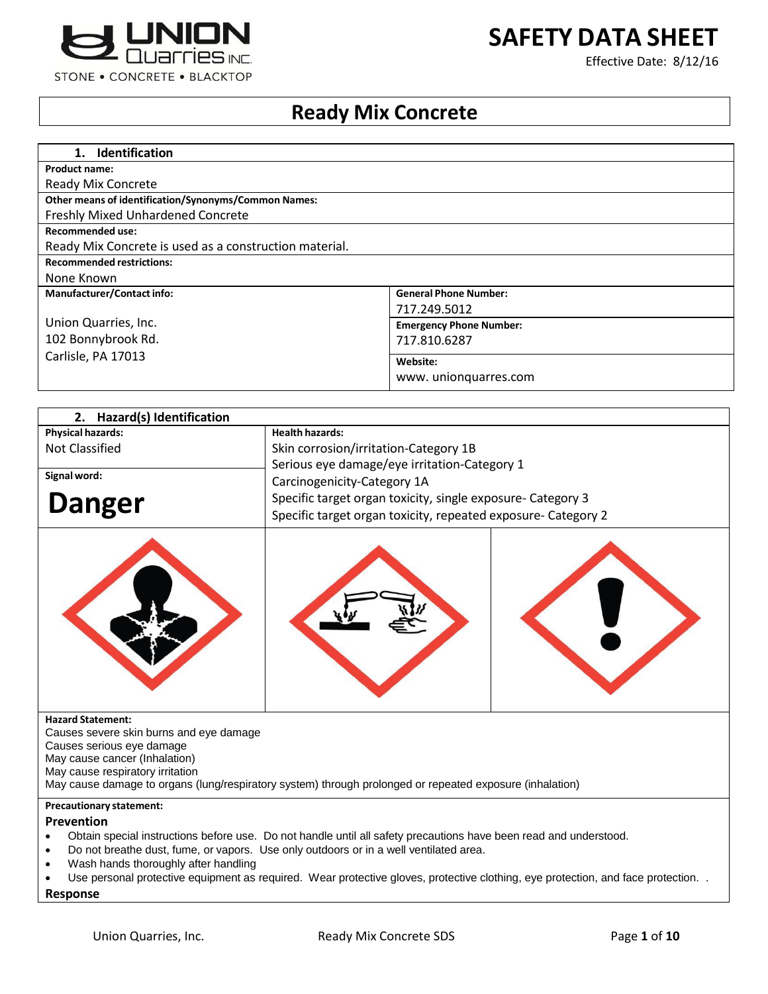



Effective Date: 8/12/16

# **Ready Mix Concrete**

| 1. Identification                                           |                                |
|-------------------------------------------------------------|--------------------------------|
| <b>Product name:</b>                                        |                                |
| <b>Ready Mix Concrete</b>                                   |                                |
| <b>Other means of identification/Synonyms/Common Names:</b> |                                |
| <b>Freshly Mixed Unhardened Concrete</b>                    |                                |
| <b>Recommended use:</b>                                     |                                |
| Ready Mix Concrete is used as a construction material.      |                                |
| <b>Recommended restrictions:</b>                            |                                |
| None Known                                                  |                                |
| <b>Manufacturer/Contact info:</b>                           | <b>General Phone Number:</b>   |
|                                                             | 717.249.5012                   |
| Union Quarries, Inc.                                        | <b>Emergency Phone Number:</b> |
| 102 Bonnybrook Rd.                                          | 717.810.6287                   |
| Carlisle, PA 17013                                          | Website:                       |
|                                                             | www.unionguarres.com           |
|                                                             |                                |

| 2. Hazard(s) Identification                                         |                                                                                                                   |  |
|---------------------------------------------------------------------|-------------------------------------------------------------------------------------------------------------------|--|
| <b>Physical hazards:</b>                                            | <b>Health hazards:</b>                                                                                            |  |
| <b>Not Classified</b>                                               | Skin corrosion/irritation-Category 1B                                                                             |  |
|                                                                     | Serious eye damage/eye irritation-Category 1                                                                      |  |
| Signal word:                                                        | Carcinogenicity-Category 1A                                                                                       |  |
| <b>Danger</b>                                                       | Specific target organ toxicity, single exposure- Category 3                                                       |  |
|                                                                     | Specific target organ toxicity, repeated exposure- Category 2                                                     |  |
|                                                                     |                                                                                                                   |  |
| <b>Hazard Statement:</b><br>Causes severe skin burns and eye damage |                                                                                                                   |  |
| Causes serious eye damage                                           |                                                                                                                   |  |
| May cause cancer (Inhalation)                                       |                                                                                                                   |  |
| May cause respiratory irritation                                    | May cause damage to organs (lung/respiratory system) through prolonged or repeated exposure (inhalation)          |  |
|                                                                     |                                                                                                                   |  |
| <b>Precautionary statement:</b>                                     |                                                                                                                   |  |
| Prevention                                                          | Obtain special instructions before use. Do not handle until all safety precautions have been read and understood. |  |
|                                                                     | Do not breathe dust, fume, or vapors. Use only outdoors or in a well ventilated area.                             |  |
| Wash hands thoroughly after handling                                |                                                                                                                   |  |

Use personal protective equipment as required. Wear protective gloves, protective clothing, eye protection, and face protection. .

**Response**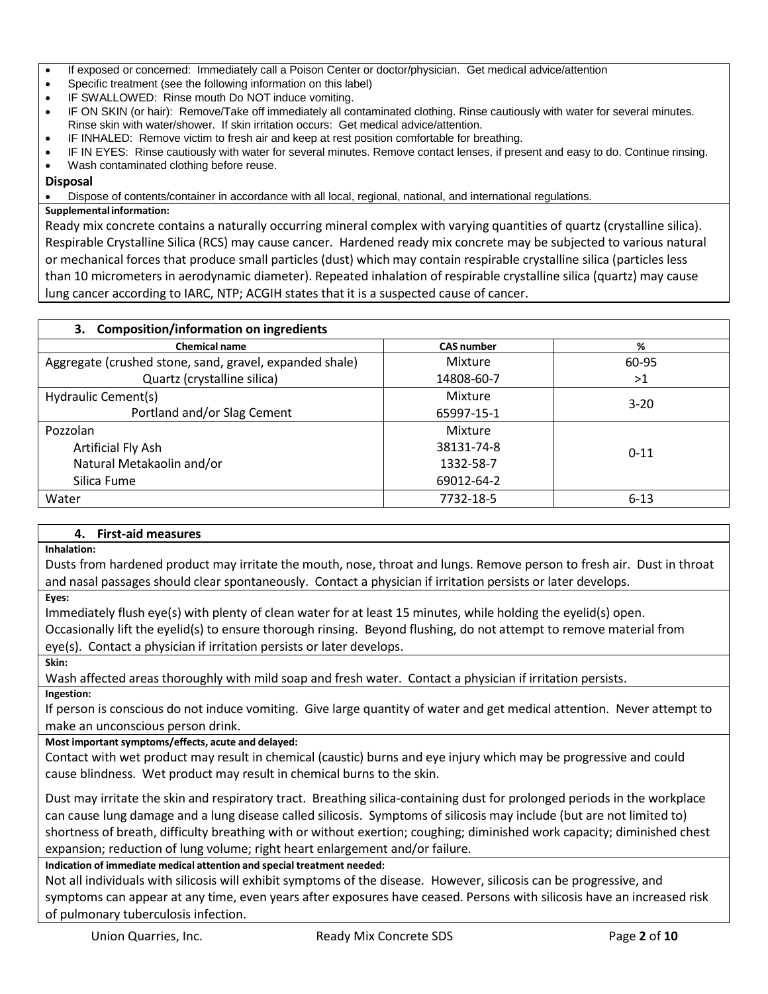- If exposed or concerned: Immediately call a Poison Center or doctor/physician. Get medical advice/attention
- Specific treatment (see the following information on this label)
- IF SWALLOWED: Rinse mouth Do NOT induce vomiting.
- IF ON SKIN (or hair): Remove/Take off immediately all contaminated clothing. Rinse cautiously with water for several minutes. Rinse skin with water/shower. If skin irritation occurs: Get medical advice/attention.
- IF INHALED: Remove victim to fresh air and keep at rest position comfortable for breathing.
- IF IN EYES: Rinse cautiously with water for several minutes. Remove contact lenses, if present and easy to do. Continue rinsing. Wash contaminated clothing before reuse.

## **Disposal**

Dispose of contents/container in accordance with all local, regional, national, and international regulations.

#### **Supplementalinformation:**

Ready mix concrete contains a naturally occurring mineral complex with varying quantities of quartz (crystalline silica). Respirable Crystalline Silica (RCS) may cause cancer. Hardened ready mix concrete may be subjected to various natural or mechanical forces that produce small particles (dust) which may contain respirable crystalline silica (particles less than 10 micrometers in aerodynamic diameter). Repeated inhalation of respirable crystalline silica (quartz) may cause lung cancer according to IARC, NTP; ACGIH states that it is a suspected cause of cancer.

| 3. Composition/information on ingredients               |                   |          |  |
|---------------------------------------------------------|-------------------|----------|--|
| <b>Chemical name</b>                                    | <b>CAS number</b> | %        |  |
| Aggregate (crushed stone, sand, gravel, expanded shale) | Mixture           | 60-95    |  |
| Quartz (crystalline silica)                             | 14808-60-7        | >1       |  |
| Hydraulic Cement(s)                                     | Mixture           | $3 - 20$ |  |
| Portland and/or Slag Cement                             | 65997-15-1        |          |  |
| Pozzolan                                                | Mixture           |          |  |
| Artificial Fly Ash                                      | 38131-74-8        |          |  |
| Natural Metakaolin and/or                               | 1332-58-7         |          |  |
| Silica Fume                                             | 69012-64-2        |          |  |
| Water                                                   | 7732-18-5         | $6 - 13$ |  |
|                                                         |                   | $0 - 11$ |  |

#### **4. First-aid measures**

**Inhalation:**

Dusts from hardened product may irritate the mouth, nose, throat and lungs. Remove person to fresh air. Dust in throat and nasal passages should clear spontaneously. Contact a physician if irritation persists or later develops.

**Eyes:**

Immediately flush eye(s) with plenty of clean water for at least 15 minutes, while holding the eyelid(s) open.

Occasionally lift the eyelid(s) to ensure thorough rinsing. Beyond flushing, do not attempt to remove material from eye(s). Contact a physician if irritation persists or later develops.

**Skin:**

Wash affected areas thoroughly with mild soap and fresh water. Contact a physician if irritation persists.

**Ingestion:**

If person is conscious do not induce vomiting. Give large quantity of water and get medical attention. Never attempt to make an unconscious person drink.

**Most important symptoms/effects, acute and delayed:**

Contact with wet product may result in chemical (caustic) burns and eye injury which may be progressive and could cause blindness. Wet product may result in chemical burns to the skin.

Dust may irritate the skin and respiratory tract. Breathing silica-containing dust for prolonged periods in the workplace can cause lung damage and a lung disease called silicosis. Symptoms of silicosis may include (but are not limited to) shortness of breath, difficulty breathing with or without exertion; coughing; diminished work capacity; diminished chest expansion; reduction of lung volume; right heart enlargement and/or failure.

**Indication of immediate medical attention and special treatment needed:**

Not all individuals with silicosis will exhibit symptoms of the disease. However, silicosis can be progressive, and symptoms can appear at any time, even years after exposures have ceased. Persons with silicosis have an increased risk of pulmonary tuberculosis infection.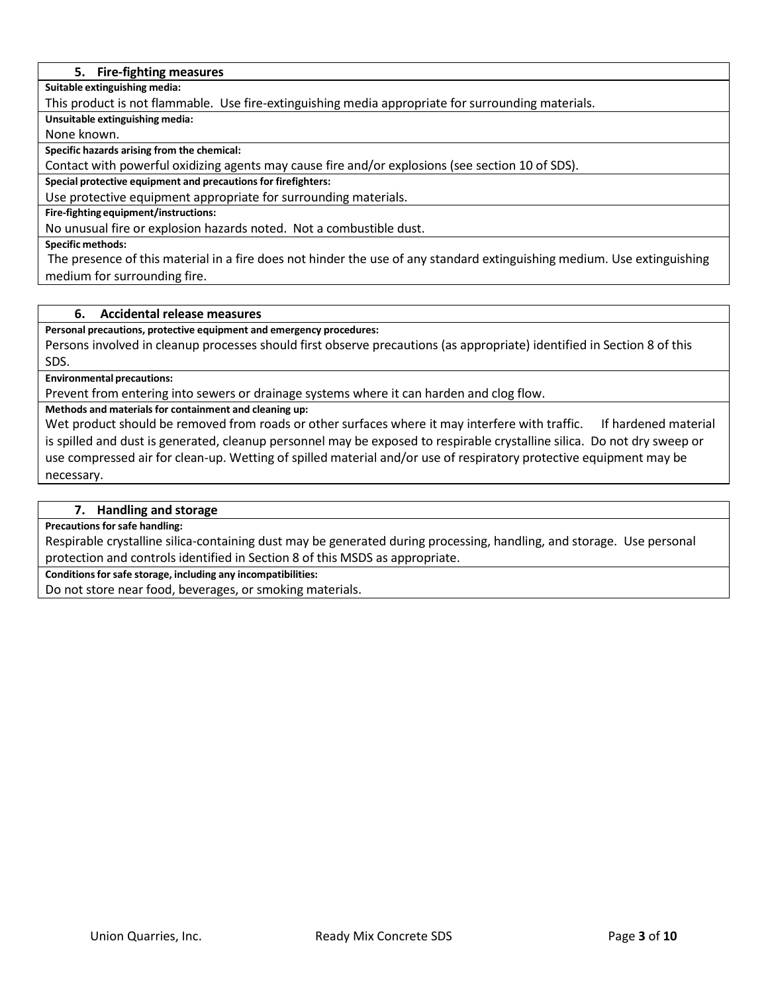#### **5. Fire-fighting measures**

**Suitable extinguishing media:**

This product is not flammable. Use fire-extinguishing media appropriate for surrounding materials.

**Unsuitable extinguishing media:**

None known.

**Specific hazards arising from the chemical:**

Contact with powerful oxidizing agents may cause fire and/or explosions (see section 10 of SDS).

**Special protective equipment and precautionsfor firefighters:**

Use protective equipment appropriate for surrounding materials.

**Fire-fighting equipment/instructions:**

No unusual fire or explosion hazards noted. Not a combustible dust.

**Specific methods:**

The presence of this material in a fire does not hinder the use of any standard extinguishing medium. Use extinguishing medium for surrounding fire.

## **6. Accidental release measures**

**Personal precautions, protective equipment and emergency procedures:**

Persons involved in cleanup processes should first observe precautions (as appropriate) identified in Section 8 of this SDS.

#### **Environmental precautions:**

Prevent from entering into sewers or drainage systems where it can harden and clog flow.

**Methods and materials for containment and cleaning up:**

Wet product should be removed from roads or other surfaces where it may interfere with traffic. If hardened material is spilled and dust is generated, cleanup personnel may be exposed to respirable crystalline silica. Do not dry sweep or use compressed air for clean-up. Wetting of spilled material and/or use of respiratory protective equipment may be necessary.

#### **7. Handling and storage**

**Precautions forsafe handling:**

Respirable crystalline silica-containing dust may be generated during processing, handling, and storage. Use personal protection and controls identified in Section 8 of this MSDS as appropriate.

**Conditionsforsafe storage, including any incompatibilities:**

Do not store near food, beverages, or smoking materials.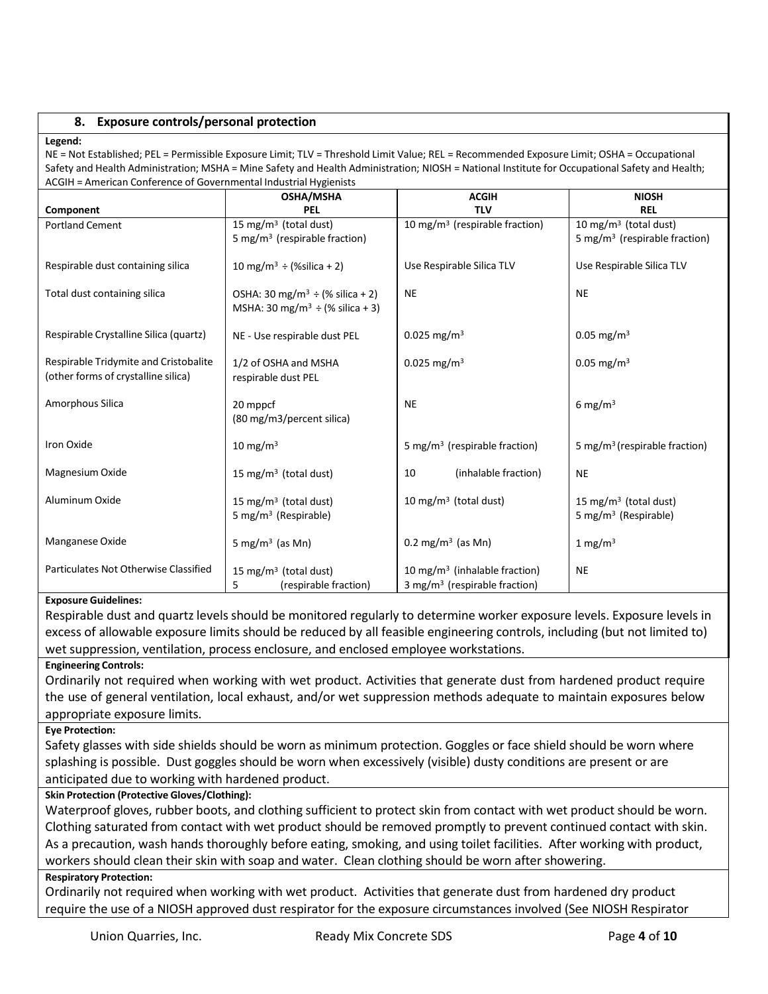## **8. Exposure controls/personal protection**

#### **Legend:**

NE = Not Established; PEL = Permissible Exposure Limit; TLV = Threshold Limit Value; REL = Recommended Exposure Limit; OSHA = Occupational Safety and Health Administration; MSHA = Mine Safety and Health Administration; NIOSH = National Institute for Occupational Safety and Health; ACGIH = American Conference of Governmental Industrial Hygienists

|                                        | <b>OSHA/MSHA</b>                                 | <b>ACGIH</b>                               | <b>NIOSH</b>                              |
|----------------------------------------|--------------------------------------------------|--------------------------------------------|-------------------------------------------|
| Component                              | <b>PEL</b>                                       | <b>TLV</b>                                 | <b>REL</b>                                |
| <b>Portland Cement</b>                 | 15 mg/m <sup>3</sup> (total dust)                | 10 mg/m <sup>3</sup> (respirable fraction) | 10 mg/m $3$ (total dust)                  |
|                                        | 5 mg/m <sup>3</sup> (respirable fraction)        |                                            | 5 mg/m <sup>3</sup> (respirable fraction) |
|                                        |                                                  |                                            |                                           |
| Respirable dust containing silica      | 10 mg/m <sup>3</sup> $\div$ (%silica + 2)        | Use Respirable Silica TLV                  | Use Respirable Silica TLV                 |
|                                        |                                                  |                                            |                                           |
| Total dust containing silica           | OSHA: 30 mg/m <sup>3</sup> ÷ (% silica + 2)      | <b>NE</b>                                  | <b>NE</b>                                 |
|                                        | MSHA: 30 mg/m <sup>3</sup> $\div$ (% silica + 3) |                                            |                                           |
| Respirable Crystalline Silica (quartz) |                                                  | $0.025$ mg/m <sup>3</sup>                  | 0.05 mg/m <sup>3</sup>                    |
|                                        | NE - Use respirable dust PEL                     |                                            |                                           |
| Respirable Tridymite and Cristobalite  | 1/2 of OSHA and MSHA                             | $0.025$ mg/m <sup>3</sup>                  | $0.05 \text{ mg/m}^3$                     |
| (other forms of crystalline silica)    | respirable dust PEL                              |                                            |                                           |
|                                        |                                                  |                                            |                                           |
| Amorphous Silica                       | 20 mppcf                                         | <b>NE</b>                                  | 6 mg/m $3$                                |
|                                        | (80 mg/m3/percent silica)                        |                                            |                                           |
|                                        |                                                  |                                            |                                           |
| Iron Oxide                             | 10 mg/m $3$                                      | 5 mg/m <sup>3</sup> (respirable fraction)  | 5 mg/m <sup>3</sup> (respirable fraction) |
|                                        |                                                  |                                            |                                           |
| Magnesium Oxide                        | 15 mg/m <sup>3</sup> (total dust)                | 10<br>(inhalable fraction)                 | <b>NE</b>                                 |
| Aluminum Oxide                         |                                                  | 10 mg/m <sup>3</sup> (total dust)          |                                           |
|                                        | 15 mg/m <sup>3</sup> (total dust)                |                                            | 15 mg/m <sup>3</sup> (total dust)         |
|                                        | 5 mg/m <sup>3</sup> (Respirable)                 |                                            | 5 mg/m <sup>3</sup> (Respirable)          |
| Manganese Oxide                        | 5 mg/m <sup>3</sup> (as Mn)                      | 0.2 mg/m <sup>3</sup> (as Mn)              | 1 mg/m $3$                                |
|                                        |                                                  |                                            |                                           |
| Particulates Not Otherwise Classified  | 15 mg/m <sup>3</sup> (total dust)                | 10 mg/m <sup>3</sup> (inhalable fraction)  | <b>NE</b>                                 |
|                                        | 5<br>(respirable fraction)                       | 3 mg/m <sup>3</sup> (respirable fraction)  |                                           |

#### **Exposure Guidelines:**

Respirable dust and quartz levels should be monitored regularly to determine worker exposure levels. Exposure levels in excess of allowable exposure limits should be reduced by all feasible engineering controls, including (but not limited to) wet suppression, ventilation, process enclosure, and enclosed employee workstations.

#### **Engineering Controls:**

Ordinarily not required when working with wet product. Activities that generate dust from hardened product require the use of general ventilation, local exhaust, and/or wet suppression methods adequate to maintain exposures below appropriate exposure limits.

#### **Eye Protection:**

Safety glasses with side shields should be worn as minimum protection. Goggles or face shield should be worn where splashing is possible. Dust goggles should be worn when excessively (visible) dusty conditions are present or are anticipated due to working with hardened product.

## **Skin Protection (Protective Gloves/Clothing):**

Waterproof gloves, rubber boots, and clothing sufficient to protect skin from contact with wet product should be worn. Clothing saturated from contact with wet product should be removed promptly to prevent continued contact with skin. As a precaution, wash hands thoroughly before eating, smoking, and using toilet facilities. After working with product, workers should clean their skin with soap and water. Clean clothing should be worn after showering.

#### **Respiratory Protection:**

Ordinarily not required when working with wet product. Activities that generate dust from hardened dry product require the use of a NIOSH approved dust respirator for the exposure circumstances involved (See NIOSH Respirator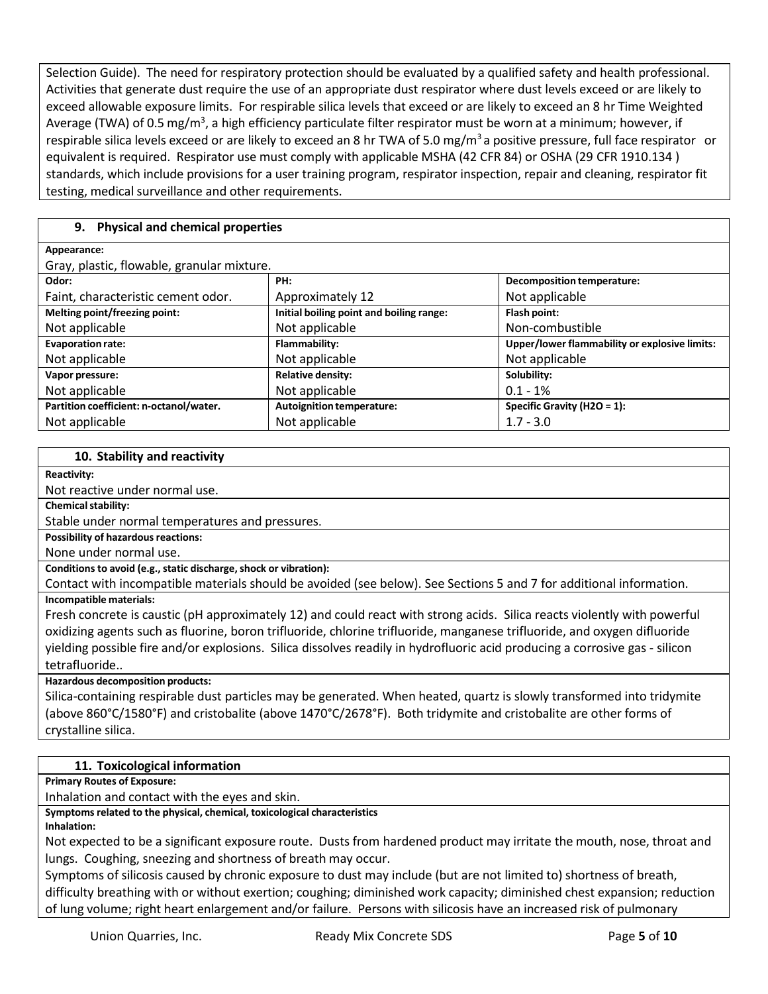Selection Guide). The need for respiratory protection should be evaluated by a qualified safety and health professional. Activities that generate dust require the use of an appropriate dust respirator where dust levels exceed or are likely to exceed allowable exposure limits. For respirable silica levels that exceed or are likely to exceed an 8 hr Time Weighted Average (TWA) of 0.5 mg/m<sup>3</sup>, a high efficiency particulate filter respirator must be worn at a minimum; however, if respirable silica levels exceed or are likely to exceed an 8 hr TWA of 5.0 mg/m<sup>3</sup> a positive pressure, full face respirator or equivalent is required. Respirator use must comply with applicable MSHA (42 CFR 84) or OSHA (29 CFR 1910.134 ) standards, which include provisions for a user training program, respirator inspection, repair and cleaning, respirator fit testing, medical surveillance and other requirements.

# **9. Physical and chemical properties**

| Appearance:                                |                                          |                                               |
|--------------------------------------------|------------------------------------------|-----------------------------------------------|
| Gray, plastic, flowable, granular mixture. |                                          |                                               |
| Odor:                                      | PH:                                      | Decomposition temperature:                    |
| Faint, characteristic cement odor.         | Approximately 12                         | Not applicable                                |
| Melting point/freezing point:              | Initial boiling point and boiling range: | Flash point:                                  |
| Not applicable                             | Not applicable                           | Non-combustible                               |
| <b>Evaporation rate:</b>                   | Flammability:                            | Upper/lower flammability or explosive limits: |
| Not applicable                             | Not applicable                           | Not applicable                                |
| Vapor pressure:                            | <b>Relative density:</b>                 | Solubility:                                   |
| Not applicable                             | Not applicable                           | $0.1 - 1\%$                                   |
| Partition coefficient: n-octanol/water.    | <b>Autoignition temperature:</b>         | Specific Gravity (H2O = $1$ ):                |
| Not applicable                             | Not applicable                           | $1.7 - 3.0$                                   |

## **10. Stability and reactivity**

**Reactivity:**

Not reactive under normal use.

**Chemical stability:** 

Stable under normal temperatures and pressures.

**Possibility of hazardous reactions:** 

None under normal use.

**Conditions to avoid (e.g., static discharge, shock or vibration):** 

Contact with incompatible materials should be avoided (see below). See Sections 5 and 7 for additional information. **Incompatible materials:**

Fresh concrete is caustic (pH approximately 12) and could react with strong acids. Silica reacts violently with powerful oxidizing agents such as fluorine, boron trifluoride, chlorine trifluoride, manganese trifluoride, and oxygen difluoride yielding possible fire and/or explosions. Silica dissolves readily in hydrofluoric acid producing a corrosive gas - silicon tetrafluoride..

#### **Hazardous decomposition products:**

Silica-containing respirable dust particles may be generated. When heated, quartz is slowly transformed into tridymite (above 860°C/1580°F) and cristobalite (above 1470°C/2678°F). Both tridymite and cristobalite are other forms of crystalline silica.

# **11. Toxicological information**

**Primary Routes of Exposure:**

Inhalation and contact with the eyes and skin.

**Symptoms related to the physical, chemical, toxicological characteristics**

**Inhalation:**

Not expected to be a significant exposure route. Dusts from hardened product may irritate the mouth, nose, throat and lungs. Coughing, sneezing and shortness of breath may occur.

Symptoms of silicosis caused by chronic exposure to dust may include (but are not limited to) shortness of breath, difficulty breathing with or without exertion; coughing; diminished work capacity; diminished chest expansion; reduction of lung volume; right heart enlargement and/or failure. Persons with silicosis have an increased risk of pulmonary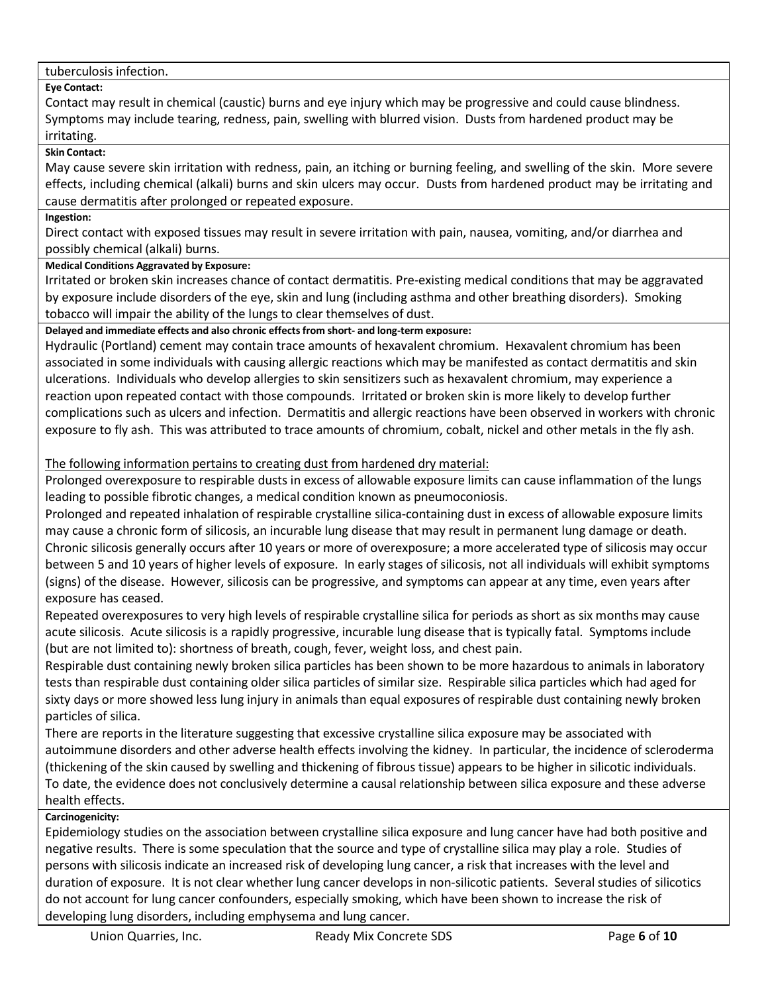## tuberculosis infection.

# **Eye Contact:**

Contact may result in chemical (caustic) burns and eye injury which may be progressive and could cause blindness. Symptoms may include tearing, redness, pain, swelling with blurred vision. Dusts from hardened product may be irritating.

#### **Skin Contact:**

May cause severe skin irritation with redness, pain, an itching or burning feeling, and swelling of the skin. More severe effects, including chemical (alkali) burns and skin ulcers may occur. Dusts from hardened product may be irritating and cause dermatitis after prolonged or repeated exposure.

#### **Ingestion:**

Direct contact with exposed tissues may result in severe irritation with pain, nausea, vomiting, and/or diarrhea and possibly chemical (alkali) burns.

# **Medical Conditions Aggravated by Exposure:**

Irritated or broken skin increases chance of contact dermatitis. Pre-existing medical conditions that may be aggravated by exposure include disorders of the eye, skin and lung (including asthma and other breathing disorders). Smoking tobacco will impair the ability of the lungs to clear themselves of dust.

# **Delayed and immediate effects and also chronic effectsfrom short- and long-term exposure:**

Hydraulic (Portland) cement may contain trace amounts of hexavalent chromium. Hexavalent chromium has been associated in some individuals with causing allergic reactions which may be manifested as contact dermatitis and skin ulcerations. Individuals who develop allergies to skin sensitizers such as hexavalent chromium, may experience a reaction upon repeated contact with those compounds. Irritated or broken skin is more likely to develop further complications such as ulcers and infection. Dermatitis and allergic reactions have been observed in workers with chronic exposure to fly ash. This was attributed to trace amounts of chromium, cobalt, nickel and other metals in the fly ash.

# The following information pertains to creating dust from hardened dry material:

Prolonged overexposure to respirable dusts in excess of allowable exposure limits can cause inflammation of the lungs leading to possible fibrotic changes, a medical condition known as pneumoconiosis.

Prolonged and repeated inhalation of respirable crystalline silica-containing dust in excess of allowable exposure limits may cause a chronic form of silicosis, an incurable lung disease that may result in permanent lung damage or death. Chronic silicosis generally occurs after 10 years or more of overexposure; a more accelerated type of silicosis may occur between 5 and 10 years of higher levels of exposure. In early stages of silicosis, not all individuals will exhibit symptoms (signs) of the disease. However, silicosis can be progressive, and symptoms can appear at any time, even years after exposure has ceased.

Repeated overexposures to very high levels of respirable crystalline silica for periods as short as six months may cause acute silicosis. Acute silicosis is a rapidly progressive, incurable lung disease that is typically fatal. Symptoms include (but are not limited to): shortness of breath, cough, fever, weight loss, and chest pain.

Respirable dust containing newly broken silica particles has been shown to be more hazardous to animals in laboratory tests than respirable dust containing older silica particles of similar size. Respirable silica particles which had aged for sixty days or more showed less lung injury in animals than equal exposures of respirable dust containing newly broken particles of silica.

There are reports in the literature suggesting that excessive crystalline silica exposure may be associated with autoimmune disorders and other adverse health effects involving the kidney. In particular, the incidence of scleroderma (thickening of the skin caused by swelling and thickening of fibrous tissue) appears to be higher in silicotic individuals. To date, the evidence does not conclusively determine a causal relationship between silica exposure and these adverse health effects.

# **Carcinogenicity:**

Epidemiology studies on the association between crystalline silica exposure and lung cancer have had both positive and negative results. There is some speculation that the source and type of crystalline silica may play a role. Studies of persons with silicosis indicate an increased risk of developing lung cancer, a risk that increases with the level and duration of exposure. It is not clear whether lung cancer develops in non-silicotic patients. Several studies of silicotics do not account for lung cancer confounders, especially smoking, which have been shown to increase the risk of developing lung disorders, including emphysema and lung cancer.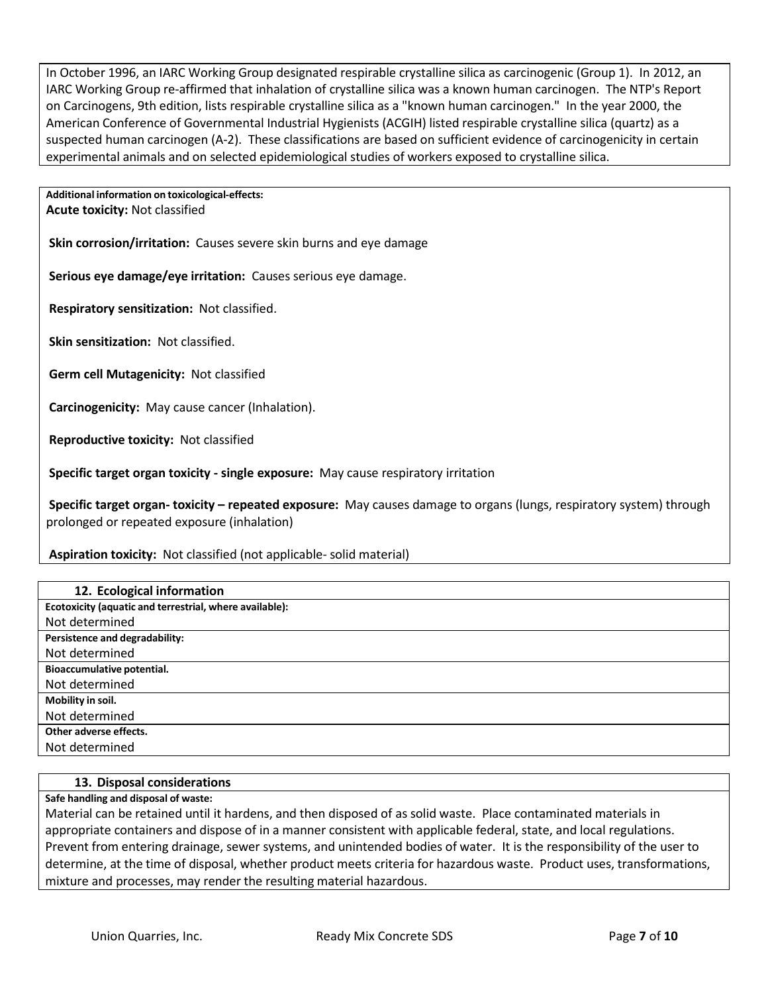In October 1996, an IARC Working Group designated respirable crystalline silica as carcinogenic (Group 1). In 2012, an IARC Working Group re-affirmed that inhalation of crystalline silica was a known human carcinogen. The NTP's Report on Carcinogens, 9th edition, lists respirable crystalline silica as a "known human carcinogen." In the year 2000, the American Conference of Governmental Industrial Hygienists (ACGIH) listed respirable crystalline silica (quartz) as a suspected human carcinogen (A-2). These classifications are based on sufficient evidence of carcinogenicity in certain experimental animals and on selected epidemiological studies of workers exposed to crystalline silica.

**Additional information on toxicological-effects: Acute toxicity:** Not classified

**Skin corrosion/irritation:** Causes severe skin burns and eye damage

**Serious eye damage/eye irritation:** Causes serious eye damage.

**Respiratory sensitization:** Not classified.

**Skin sensitization:** Not classified.

**Germ cell Mutagenicity:** Not classified

**Carcinogenicity:** May cause cancer (Inhalation).

**Reproductive toxicity:** Not classified

**Specific target organ toxicity - single exposure:** May cause respiratory irritation

**Specific target organ- toxicity – repeated exposure:** May causes damage to organs (lungs, respiratory system) through prolonged or repeated exposure (inhalation)

**Aspiration toxicity:** Not classified (not applicable- solid material)

| 12. Ecological information                              |
|---------------------------------------------------------|
| Ecotoxicity (aquatic and terrestrial, where available): |
| Not determined                                          |
| Persistence and degradability:                          |
| Not determined                                          |
| Bioaccumulative potential.                              |
| Not determined                                          |
| Mobility in soil.                                       |
| Not determined                                          |
| Other adverse effects.                                  |
| Not determined                                          |

#### **13. Disposal considerations**

**Safe handling and disposal of waste:**

Material can be retained until it hardens, and then disposed of as solid waste. Place contaminated materials in appropriate containers and dispose of in a manner consistent with applicable federal, state, and local regulations. Prevent from entering drainage, sewer systems, and unintended bodies of water. It is the responsibility of the user to determine, at the time of disposal, whether product meets criteria for hazardous waste. Product uses, transformations, mixture and processes, may render the resulting material hazardous.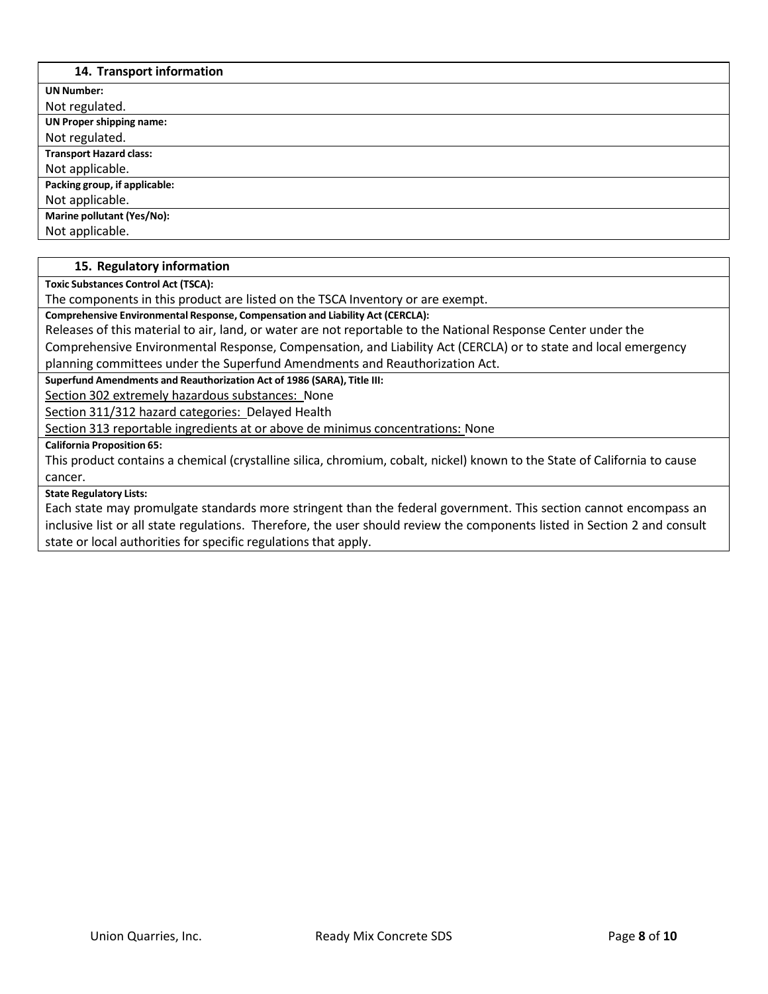# **14. Transport information**

Г

| 14. Hansport implified on       |  |
|---------------------------------|--|
| <b>UN Number:</b>               |  |
| Not regulated.                  |  |
| <b>UN Proper shipping name:</b> |  |
| Not regulated.                  |  |
| <b>Transport Hazard class:</b>  |  |
| Not applicable.                 |  |
| Packing group, if applicable:   |  |
| Not applicable.                 |  |
| Marine pollutant (Yes/No):      |  |
| Not applicable.                 |  |

#### **15. Regulatory information**

**Toxic Substances Control Act (TSCA):**

The components in this product are listed on the TSCA Inventory or are exempt.

**Comprehensive Environmental Response, Compensation and Liability Act (CERCLA):**

Releases of this material to air, land, or water are not reportable to the National Response Center under the

Comprehensive Environmental Response, Compensation, and Liability Act (CERCLA) or to state and local emergency planning committees under the Superfund Amendments and Reauthorization Act.

**Superfund Amendments and Reauthorization Act of 1986 (SARA), Title III:**

Section 302 extremely hazardous substances: None

Section 311/312 hazard categories: Delayed Health

Section 313 reportable ingredients at or above de minimus concentrations: None

**California Proposition 65:**

This product contains a chemical (crystalline silica, chromium, cobalt, nickel) known to the State of California to cause cancer.

#### **State Regulatory Lists:**

Each state may promulgate standards more stringent than the federal government. This section cannot encompass an inclusive list or all state regulations. Therefore, the user should review the components listed in Section 2 and consult state or local authorities for specific regulations that apply.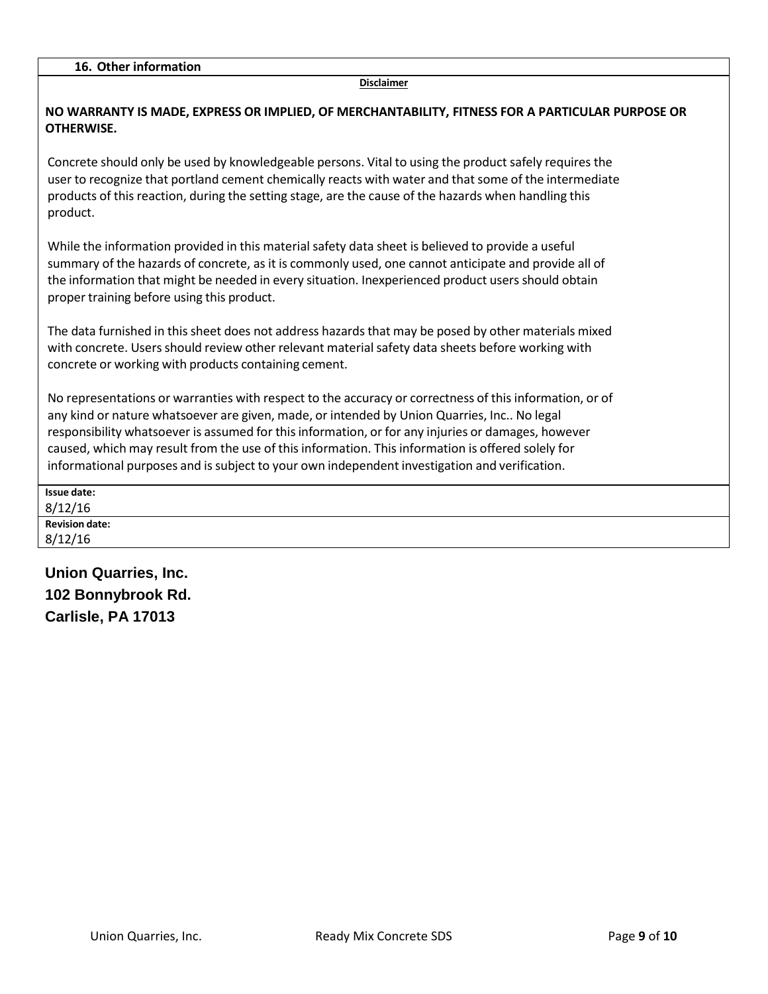#### **Disclaimer**

| NO WARRANTY IS MADE, EXPRESS OR IMPLIED, OF MERCHANTABILITY, FITNESS FOR A PARTICULAR PURPOSE OR<br><b>OTHERWISE.</b>                                                                                                                                                                                                                                                                                                                                                                                             |
|-------------------------------------------------------------------------------------------------------------------------------------------------------------------------------------------------------------------------------------------------------------------------------------------------------------------------------------------------------------------------------------------------------------------------------------------------------------------------------------------------------------------|
| Concrete should only be used by knowledgeable persons. Vital to using the product safely requires the<br>user to recognize that portland cement chemically reacts with water and that some of the intermediate<br>products of this reaction, during the setting stage, are the cause of the hazards when handling this<br>product.                                                                                                                                                                                |
| While the information provided in this material safety data sheet is believed to provide a useful<br>summary of the hazards of concrete, as it is commonly used, one cannot anticipate and provide all of<br>the information that might be needed in every situation. Inexperienced product users should obtain<br>proper training before using this product.                                                                                                                                                     |
| The data furnished in this sheet does not address hazards that may be posed by other materials mixed<br>with concrete. Users should review other relevant material safety data sheets before working with<br>concrete or working with products containing cement.                                                                                                                                                                                                                                                 |
| No representations or warranties with respect to the accuracy or correctness of this information, or of<br>any kind or nature whatsoever are given, made, or intended by Union Quarries, Inc No legal<br>responsibility whatsoever is assumed for this information, or for any injuries or damages, however<br>caused, which may result from the use of this information. This information is offered solely for<br>informational purposes and is subject to your own independent investigation and verification. |
| <b>Issue date:</b>                                                                                                                                                                                                                                                                                                                                                                                                                                                                                                |
| 8/12/16                                                                                                                                                                                                                                                                                                                                                                                                                                                                                                           |
| <b>Revision date:</b><br>8/12/16                                                                                                                                                                                                                                                                                                                                                                                                                                                                                  |
|                                                                                                                                                                                                                                                                                                                                                                                                                                                                                                                   |

**Union Quarries, Inc. 102 Bonnybrook Rd. Carlisle, PA 17013**